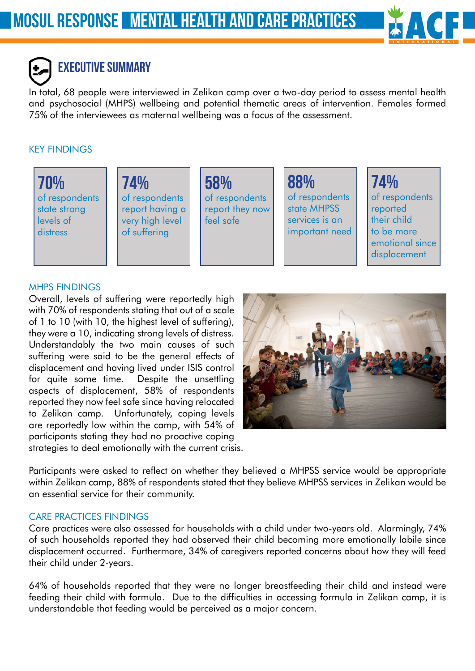

# EXECUTIVE SUMMARY

In total, 68 people were interviewed in Zelikan camp over a two-day period to assess mental health and psychosocial (MHPS) wellbeing and potential thematic areas of intervention. Females formed 75% of the interviewees as maternal wellbeing was a focus of the assessment.

#### KEY FINDINGS

70% of respondents state strong levels of distress

74% of respondents report having a very high level of suffering

58% of respondents report they now feel safe

88% of respondents state MHPSS services is an important need

74% of respondents reported their child to be more emotional since displacement

#### MHPS Findings

Overall, levels of suffering were reportedly high with 70% of respondents stating that out of a scale of 1 to 10 (with 10, the highest level of suffering), they were a 10, indicating strong levels of distress. Understandably the two main causes of such suffering were said to be the general effects of displacement and having lived under ISIS control for quite some time. Despite the unsettling aspects of displacement, 58% of respondents reported they now feel safe since having relocated to Zelikan camp. Unfortunately, coping levels are reportedly low within the camp, with 54% of participants stating they had no proactive coping strategies to deal emotionally with the current crisis.



Participants were asked to reflect on whether they believed a MHPSS service would be appropriate within Zelikan camp, 88% of respondents stated that they believe MHPSS services in Zelikan would be an essential service for their community.

#### Care Practices Findings

Care practices were also assessed for households with a child under two-years old. Alarmingly, 74% of such households reported they had observed their child becoming more emotionally labile since displacement occurred. Furthermore, 34% of caregivers reported concerns about how they will feed their child under 2-years.

64% of households reported that they were no longer breastfeeding their child and instead were feeding their child with formula. Due to the difficulties in accessing formula in Zelikan camp, it is understandable that feeding would be perceived as a major concern.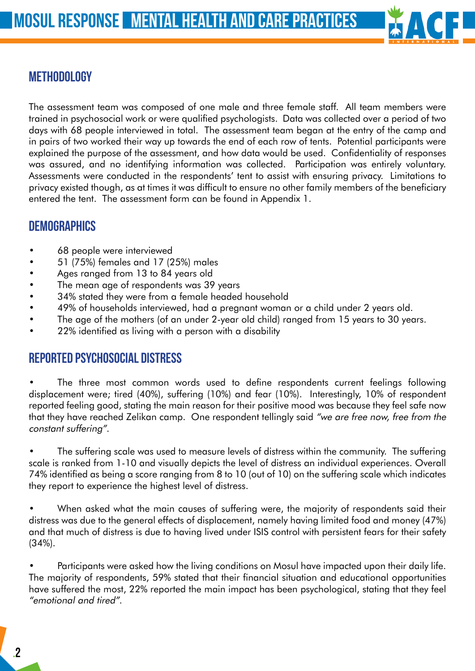

## **METHODOLOGY**

The assessment team was composed of one male and three female staff. All team members were trained in psychosocial work or were qualified psychologists. Data was collected over a period of two days with 68 people interviewed in total. The assessment team began at the entry of the camp and in pairs of two worked their way up towards the end of each row of tents. Potential participants were explained the purpose of the assessment, and how data would be used. Confidentiality of responses was assured, and no identifying information was collected. Participation was entirely voluntary. Assessments were conducted in the respondents' tent to assist with ensuring privacy. Limitations to privacy existed though, as at times it was difficult to ensure no other family members of the beneficiary entered the tent. The assessment form can be found in Appendix 1.

## **DEMOGRAPHICS**

- 68 people were interviewed
- 51 (75%) females and 17 (25%) males
- Ages ranged from 13 to 84 years old
- The mean age of respondents was 39 years
- 34% stated they were from a female headed household
- • 49% of households interviewed, had a pregnant woman or a child under 2 years old.
- The age of the mothers (of an under 2-year old child) ranged from 15 years to 30 years.
- 22% identified as living with a person with a disability

#### Reported Psychosocial distress

The three most common words used to define respondents current feelings following displacement were; tired (40%), suffering (10%) and fear (10%). Interestingly, 10% of respondent reported feeling good, stating the main reason for their positive mood was because they feel safe now that they have reached Zelikan camp. One respondent tellingly said "we are free now, free from the constant suffering".

The suffering scale was used to measure levels of distress within the community. The suffering scale is ranked from 1-10 and visually depicts the level of distress an individual experiences. Overall 74% identified as being a score ranging from 8 to 10 (out of 10) on the suffering scale which indicates they report to experience the highest level of distress.

When asked what the main causes of suffering were, the majority of respondents said their distress was due to the general effects of displacement, namely having limited food and money (47%) and that much of distress is due to having lived under ISIS control with persistent fears for their safety (34%).

Participants were asked how the living conditions on Mosul have impacted upon their daily life. The majority of respondents, 59% stated that their financial situation and educational opportunities have suffered the most, 22% reported the main impact has been psychological, stating that they feel "emotional and tired".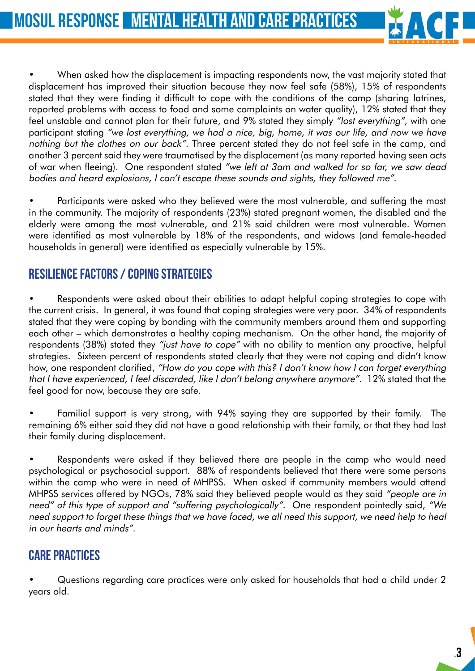

When asked how the displacement is impacting respondents now, the vast majority stated that displacement has improved their situation because they now feel safe (58%), 15% of respondents stated that they were finding it difficult to cope with the conditions of the camp (sharing latrines, reported problems with access to food and some complaints on water quality), 12% stated that they feel unstable and cannot plan for their future, and 9% stated they simply "lost everything", with one participant stating "we lost everything, we had a nice, big, home, it was our life, and now we have nothing but the clothes on our back". Three percent stated they do not feel safe in the camp, and another 3 percent said they were traumatised by the displacement (as many reported having seen acts of war when fleeing). One respondent stated "we left at 3am and walked for so far, we saw dead bodies and heard explosions, I can't escape these sounds and sights, they followed me".

Participants were asked who they believed were the most vulnerable, and suffering the most in the community. The majority of respondents (23%) stated pregnant women, the disabled and the elderly were among the most vulnerable, and 21% said children were most vulnerable. Women were identified as most vulnerable by 18% of the respondents, and widows (and female-headed households in general) were identified as especially vulnerable by 15%.

## Resilience Factors / Coping Strategies

Respondents were asked about their abilities to adapt helpful coping strategies to cope with the current crisis. In general, it was found that coping strategies were very poor. 34% of respondents stated that they were coping by bonding with the community members around them and supporting each other – which demonstrates a healthy coping mechanism. On the other hand, the majority of respondents (38%) stated they "just have to cope" with no ability to mention any proactive, helpful strategies. Sixteen percent of respondents stated clearly that they were not coping and didn't know how, one respondent clarified, "How do you cope with this? I don't know how I can forget everything that I have experienced, I feel discarded, like I don't belong anywhere anymore". 12% stated that the feel good for now, because they are safe.

Familial support is very strong, with 94% saying they are supported by their family. The remaining 6% either said they did not have a good relationship with their family, or that they had lost their family during displacement.

Respondents were asked if they believed there are people in the camp who would need psychological or psychosocial support. 88% of respondents believed that there were some persons within the camp who were in need of MHPSS. When asked if community members would attend MHPSS services offered by NGOs, 78% said they believed people would as they said "people are in need" of this type of support and "suffering psychologically". One respondent pointedly said, "We need support to forget these things that we have faced, we all need this support, we need help to heal in our hearts and minds".

## Care Practices

Questions regarding care practices were only asked for households that had a child under 2 years old.